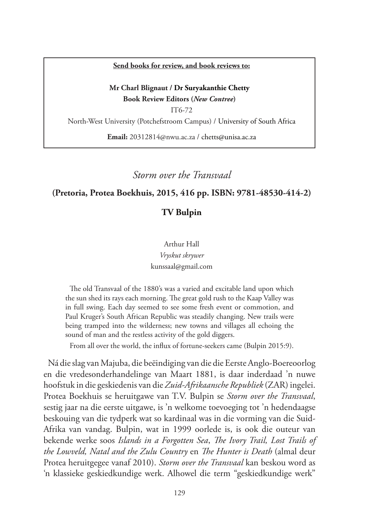#### **Send books for review, and book reviews to:**

#### **Mr Charl Blignaut / Dr Suryakanthie Chetty Book Review Editors (***New Contree***)**

IT6-72 North-West University (Potchefstroom Campus) / University of South Africa **Email:** 20312814@nwu.ac.za / chetts@unisa.ac.za

*Storm over the Transvaal*

#### **(Pretoria, Protea Boekhuis, 2015, 416 pp. ISBN: 9781-48530-414-2)**

### **TV Bulpin**

Arthur Hall *Vryskut skrywer* kunssaal@gmail.com

The old Transvaal of the 1880's was a varied and excitable land upon which the sun shed its rays each morning. The great gold rush to the Kaap Valley was in full swing. Each day seemed to see some fresh event or commotion, and Paul Kruger's South African Republic was steadily changing. New trails were being tramped into the wilderness; new towns and villages all echoing the sound of man and the restless activity of the gold diggers.

From all over the world, the influx of fortune-seekers came (Bulpin 2015:9).

Ná die slag van Majuba, die beëindiging van die die Eerste Anglo-Boereoorlog en die vredesonderhandelinge van Maart 1881, is daar inderdaad 'n nuwe hoofstuk in die geskiedenis van die *Zuid-Afrikaansche Republiek* (ZAR) ingelei. Protea Boekhuis se heruitgawe van T.V. Bulpin se *Storm over the Transvaal*, sestig jaar na die eerste uitgawe, is 'n welkome toevoeging tot 'n hedendaagse beskouing van die tydperk wat so kardinaal was in die vorming van die Suid-Afrika van vandag. Bulpin, wat in 1999 oorlede is, is ook die outeur van bekende werke soos *Islands in a Forgotten Sea*, *The Ivory Trail, Lost Trails of the Lowveld, Natal and the Zulu Country* en *The Hunter is Death* (almal deur Protea heruitgegee vanaf 2010). *Storm over the Transvaal* kan beskou word as 'n klassieke geskiedkundige werk. Alhowel die term "geskiedkundige werk"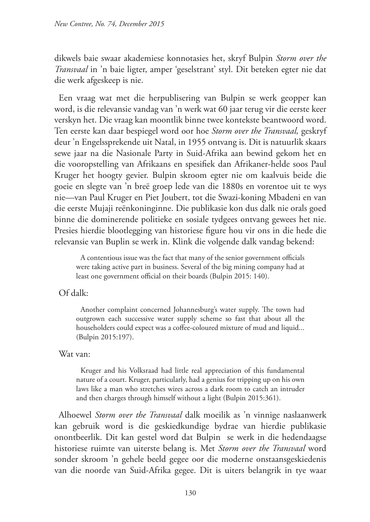dikwels baie swaar akademiese konnotasies het, skryf Bulpin *Storm over the Transvaal* in 'n baie ligter, amper 'geselstrant' styl. Dit beteken egter nie dat die werk afgeskeep is nie.

Een vraag wat met die herpublisering van Bulpin se werk geopper kan word, is die relevansie vandag van 'n werk wat 60 jaar terug vir die eerste keer verskyn het. Die vraag kan moontlik binne twee kontekste beantwoord word. Ten eerste kan daar bespiegel word oor hoe *Storm over the Transvaal,* geskryf deur 'n Engelssprekende uit Natal, in 1955 ontvang is. Dit is natuurlik skaars sewe jaar na die Nasionale Party in Suid-Afrika aan bewind gekom het en die vooropstelling van Afrikaans en spesifiek dan Afrikaner-helde soos Paul Kruger het hoogty gevier. Bulpin skroom egter nie om kaalvuis beide die goeie en slegte van 'n breë groep lede van die 1880s en vorentoe uit te wys nie—van Paul Kruger en Piet Joubert, tot die Swazi-koning Mbadeni en van die eerste Mujaji reënkoninginne. Die publikasie kon dus dalk nie orals goed binne die dominerende politieke en sosiale tydgees ontvang gewees het nie. Presies hierdie blootlegging van historiese figure hou vir ons in die hede die relevansie van Buplin se werk in. Klink die volgende dalk vandag bekend:

A contentious issue was the fact that many of the senior government officials were taking active part in business. Several of the big mining company had at least one government official on their boards (Bulpin 2015: 140).

Of dalk:

Another complaint concerned Johannesburg's water supply. The town had outgrown each successive water supply scheme so fast that about all the householders could expect was a coffee-coloured mixture of mud and liquid... (Bulpin 2015:197).

Wat van:

Kruger and his Volksraad had little real appreciation of this fundamental nature of a court. Kruger, particularly, had a genius for tripping up on his own laws like a man who stretches wires across a dark room to catch an intruder and then charges through himself without a light (Bulpin 2015:361).

Alhoewel *Storm over the Transvaal* dalk moeilik as 'n vinnige naslaanwerk kan gebruik word is die geskiedkundige bydrae van hierdie publikasie onontbeerlik. Dit kan gestel word dat Bulpin se werk in die hedendaagse historiese ruimte van uiterste belang is. Met *Storm over the Transvaal* word sonder skroom 'n gehele beeld gegee oor die moderne onstaansgeskiedenis van die noorde van Suid-Afrika gegee. Dit is uiters belangrik in tye waar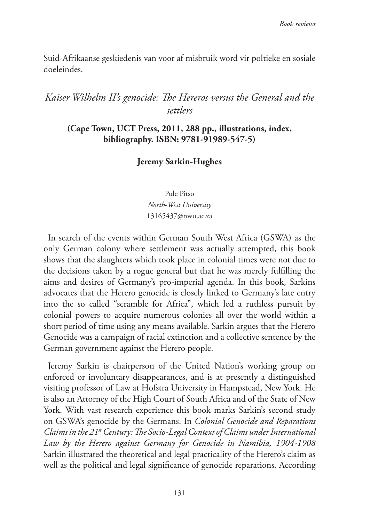Suid-Afrikaanse geskiedenis van voor af misbruik word vir poltieke en sosiale doeleindes.

# *Kaiser Wilhelm II's genocide: The Hereros versus the General and the settlers*

## **(Cape Town, UCT Press, 2011, 288 pp., illustrations, index, bibliography. ISBN: 9781-91989-547-5)**

### **Jeremy Sarkin-Hughes**

Pule Pitso *North-West University* 13165437@nwu.ac.za

In search of the events within German South West Africa (GSWA) as the only German colony where settlement was actually attempted, this book shows that the slaughters which took place in colonial times were not due to the decisions taken by a rogue general but that he was merely fulfilling the aims and desires of Germany's pro-imperial agenda. In this book, Sarkins advocates that the Herero genocide is closely linked to Germany's late entry into the so called "scramble for Africa", which led a ruthless pursuit by colonial powers to acquire numerous colonies all over the world within a short period of time using any means available. Sarkin argues that the Herero Genocide was a campaign of racial extinction and a collective sentence by the German government against the Herero people.

Jeremy Sarkin is chairperson of the United Nation's working group on enforced or involuntary disappearances, and is at presently a distinguished visiting professor of Law at Hofstra University in Hampstead, New York. He is also an Attorney of the High Court of South Africa and of the State of New York. With vast research experience this book marks Sarkin's second study on GSWA's genocide by the Germans. In *Colonial Genocide and Reparations Claims in the 21st Century: The Socio-Legal Context of Claims under International Law by the Herero against Germany for Genocide in Namibia, 1904-1908* Sarkin illustrated the theoretical and legal practicality of the Herero's claim as well as the political and legal significance of genocide reparations. According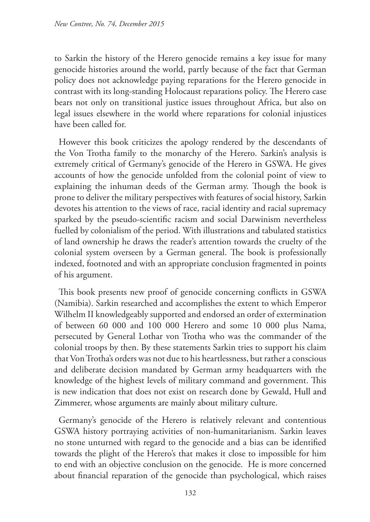to Sarkin the history of the Herero genocide remains a key issue for many genocide histories around the world, partly because of the fact that German policy does not acknowledge paying reparations for the Herero genocide in contrast with its long-standing Holocaust reparations policy. The Herero case bears not only on transitional justice issues throughout Africa, but also on legal issues elsewhere in the world where reparations for colonial injustices have been called for.

However this book criticizes the apology rendered by the descendants of the Von Trotha family to the monarchy of the Herero. Sarkin's analysis is extremely critical of Germany's genocide of the Herero in GSWA. He gives accounts of how the genocide unfolded from the colonial point of view to explaining the inhuman deeds of the German army. Though the book is prone to deliver the military perspectives with features of social history, Sarkin devotes his attention to the views of race, racial identity and racial supremacy sparked by the pseudo-scientific racism and social Darwinism nevertheless fuelled by colonialism of the period. With illustrations and tabulated statistics of land ownership he draws the reader's attention towards the cruelty of the colonial system overseen by a German general. The book is professionally indexed, footnoted and with an appropriate conclusion fragmented in points of his argument.

This book presents new proof of genocide concerning conflicts in GSWA (Namibia). Sarkin researched and accomplishes the extent to which Emperor Wilhelm II knowledgeably supported and endorsed an order of extermination of between 60 000 and 100 000 Herero and some 10 000 plus Nama, persecuted by General Lothar von Trotha who was the commander of the colonial troops by then. By these statements Sarkin tries to support his claim that Von Trotha's orders was not due to his heartlessness, but rather a conscious and deliberate decision mandated by German army headquarters with the knowledge of the highest levels of military command and government. This is new indication that does not exist on research done by Gewald, Hull and Zimmerer, whose arguments are mainly about military culture.

Germany's genocide of the Herero is relatively relevant and contentious GSWA history portraying activities of non-humanitarianism. Sarkin leaves no stone unturned with regard to the genocide and a bias can be identified towards the plight of the Herero's that makes it close to impossible for him to end with an objective conclusion on the genocide. He is more concerned about financial reparation of the genocide than psychological, which raises